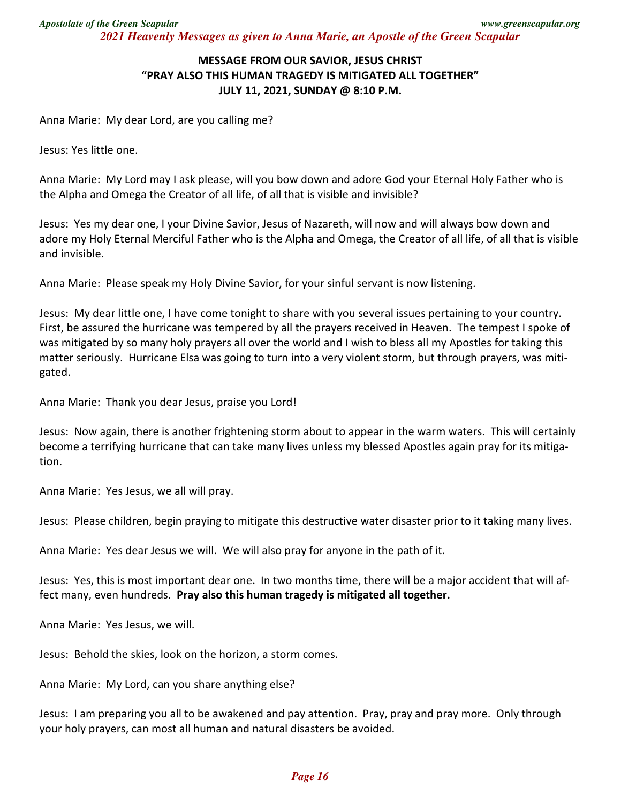## **MESSAGE FROM OUR SAVIOR, JESUS CHRIST "PRAY ALSO THIS HUMAN TRAGEDY IS MITIGATED ALL TOGETHER" JULY 11, 2021, SUNDAY @ 8:10 P.M.**

Anna Marie: My dear Lord, are you calling me?

Jesus: Yes little one.

Anna Marie: My Lord may I ask please, will you bow down and adore God your Eternal Holy Father who is the Alpha and Omega the Creator of all life, of all that is visible and invisible?

Jesus: Yes my dear one, I your Divine Savior, Jesus of Nazareth, will now and will always bow down and adore my Holy Eternal Merciful Father who is the Alpha and Omega, the Creator of all life, of all that is visible and invisible.

Anna Marie: Please speak my Holy Divine Savior, for your sinful servant is now listening.

Jesus: My dear little one, I have come tonight to share with you several issues pertaining to your country. First, be assured the hurricane was tempered by all the prayers received in Heaven. The tempest I spoke of was mitigated by so many holy prayers all over the world and I wish to bless all my Apostles for taking this matter seriously. Hurricane Elsa was going to turn into a very violent storm, but through prayers, was mitigated.

Anna Marie: Thank you dear Jesus, praise you Lord!

Jesus: Now again, there is another frightening storm about to appear in the warm waters. This will certainly become a terrifying hurricane that can take many lives unless my blessed Apostles again pray for its mitigation.

Anna Marie: Yes Jesus, we all will pray.

Jesus: Please children, begin praying to mitigate this destructive water disaster prior to it taking many lives.

Anna Marie: Yes dear Jesus we will. We will also pray for anyone in the path of it.

Jesus: Yes, this is most important dear one. In two months time, there will be a major accident that will affect many, even hundreds. **Pray also this human tragedy is mitigated all together.** 

Anna Marie: Yes Jesus, we will.

Jesus: Behold the skies, look on the horizon, a storm comes.

Anna Marie: My Lord, can you share anything else?

Jesus: I am preparing you all to be awakened and pay attention. Pray, pray and pray more. Only through your holy prayers, can most all human and natural disasters be avoided.